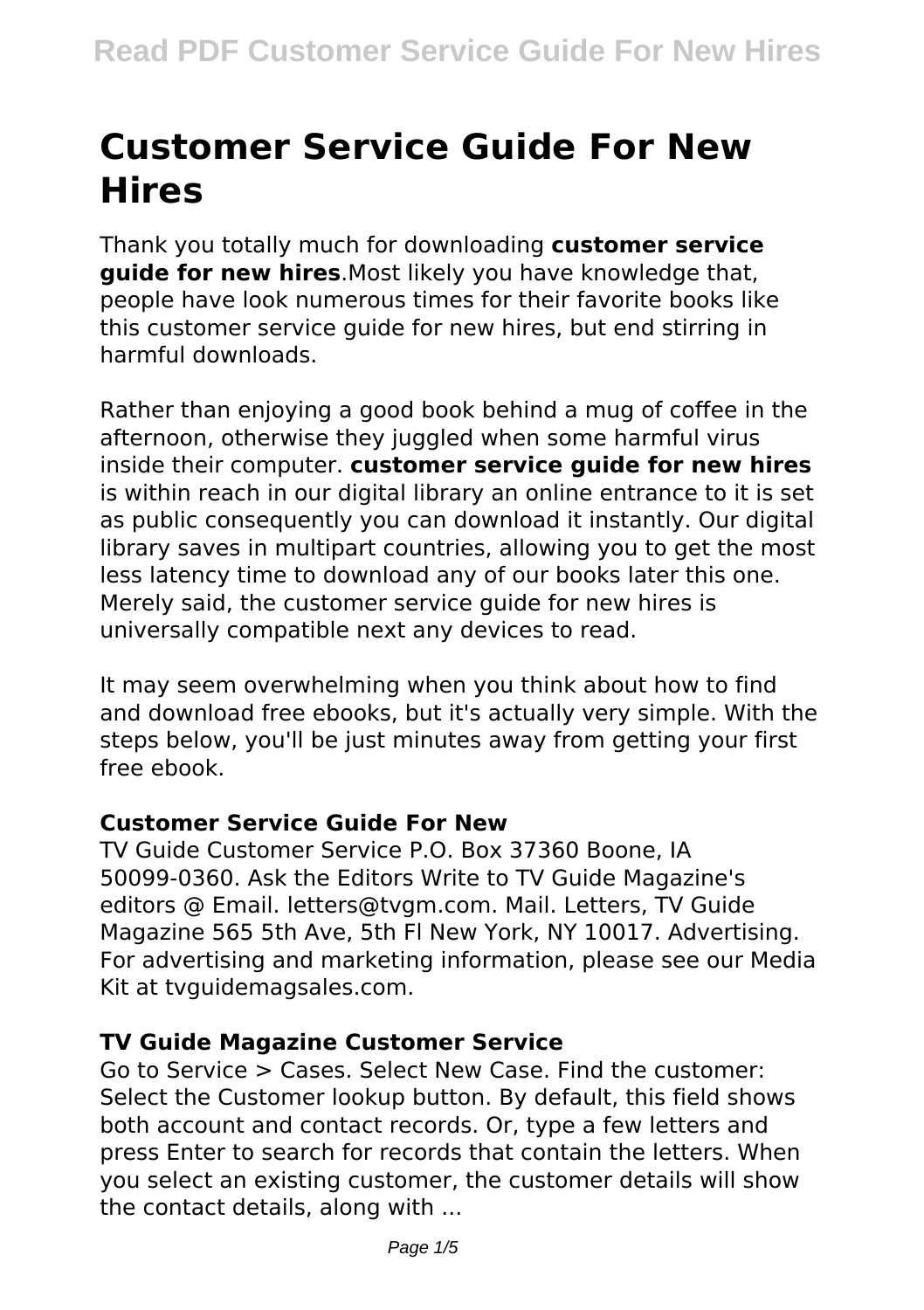# **Customer Service Guide For New Hires**

Thank you totally much for downloading **customer service guide for new hires**.Most likely you have knowledge that, people have look numerous times for their favorite books like this customer service guide for new hires, but end stirring in harmful downloads.

Rather than enjoying a good book behind a mug of coffee in the afternoon, otherwise they juggled when some harmful virus inside their computer. **customer service guide for new hires** is within reach in our digital library an online entrance to it is set as public consequently you can download it instantly. Our digital library saves in multipart countries, allowing you to get the most less latency time to download any of our books later this one. Merely said, the customer service guide for new hires is universally compatible next any devices to read.

It may seem overwhelming when you think about how to find and download free ebooks, but it's actually very simple. With the steps below, you'll be just minutes away from getting your first free ebook.

# **Customer Service Guide For New**

TV Guide Customer Service P.O. Box 37360 Boone, IA 50099-0360. Ask the Editors Write to TV Guide Magazine's editors @ Email. letters@tvgm.com. Mail. Letters, TV Guide Magazine 565 5th Ave, 5th Fl New York, NY 10017. Advertising. For advertising and marketing information, please see our Media Kit at tvguidemagsales.com.

# **TV Guide Magazine Customer Service**

Go to Service > Cases. Select New Case. Find the customer: Select the Customer lookup button. By default, this field shows both account and contact records. Or, type a few letters and press Enter to search for records that contain the letters. When you select an existing customer, the customer details will show the contact details, along with ...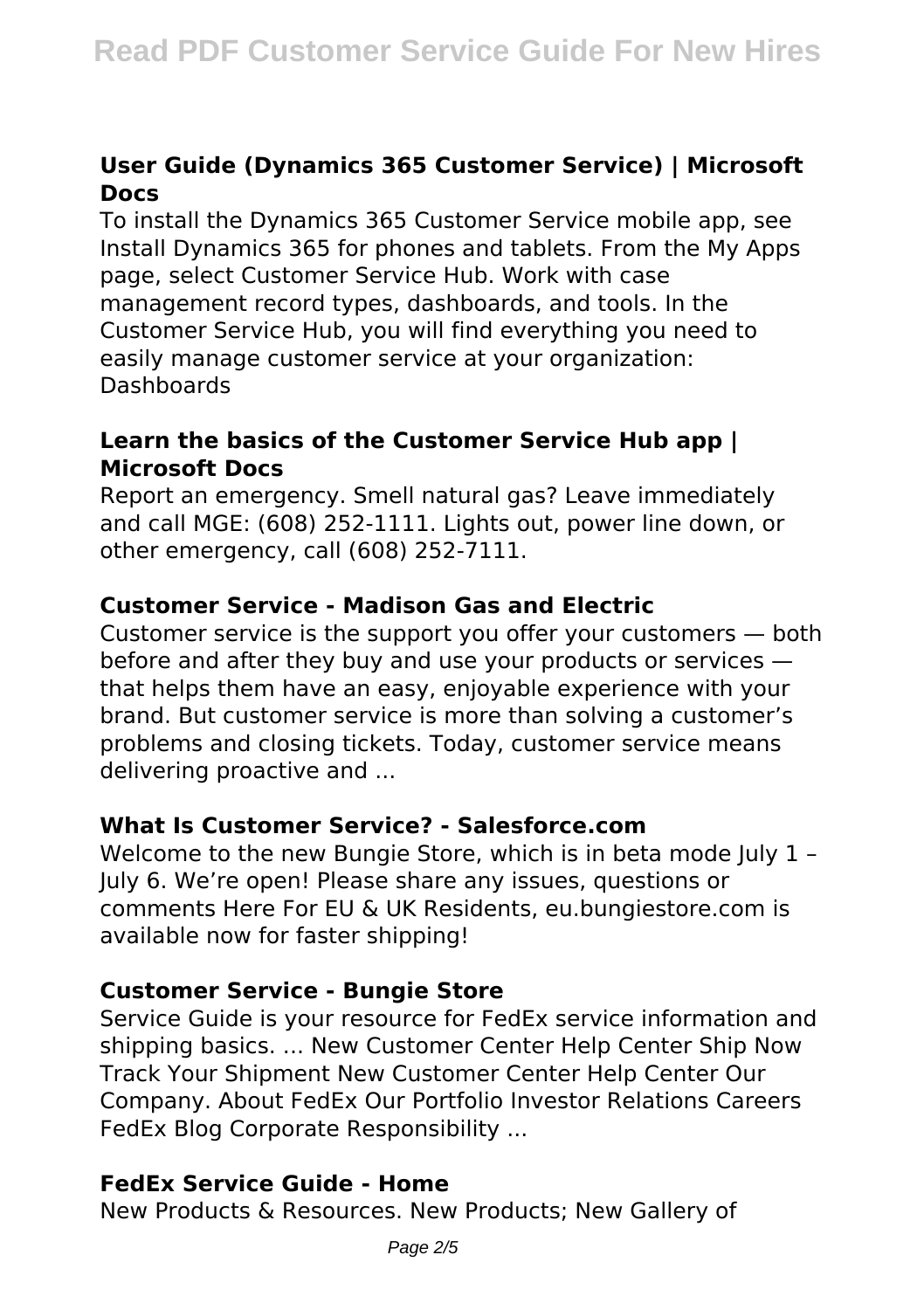# **User Guide (Dynamics 365 Customer Service) | Microsoft Docs**

To install the Dynamics 365 Customer Service mobile app, see Install Dynamics 365 for phones and tablets. From the My Apps page, select Customer Service Hub. Work with case management record types, dashboards, and tools. In the Customer Service Hub, you will find everything you need to easily manage customer service at your organization: Dashboards

#### **Learn the basics of the Customer Service Hub app | Microsoft Docs**

Report an emergency. Smell natural gas? Leave immediately and call MGE: (608) 252-1111. Lights out, power line down, or other emergency, call (608) 252-7111.

# **Customer Service - Madison Gas and Electric**

Customer service is the support you offer your customers — both before and after they buy and use your products or services that helps them have an easy, enjoyable experience with your brand. But customer service is more than solving a customer's problems and closing tickets. Today, customer service means delivering proactive and ...

# **What Is Customer Service? - Salesforce.com**

Welcome to the new Bungie Store, which is in beta mode July 1 -July 6. We're open! Please share any issues, questions or comments Here For EU & UK Residents, eu.bungiestore.com is available now for faster shipping!

# **Customer Service - Bungie Store**

Service Guide is your resource for FedEx service information and shipping basics. ... New Customer Center Help Center Ship Now Track Your Shipment New Customer Center Help Center Our Company. About FedEx Our Portfolio Investor Relations Careers FedEx Blog Corporate Responsibility ...

# **FedEx Service Guide - Home**

New Products & Resources. New Products; New Gallery of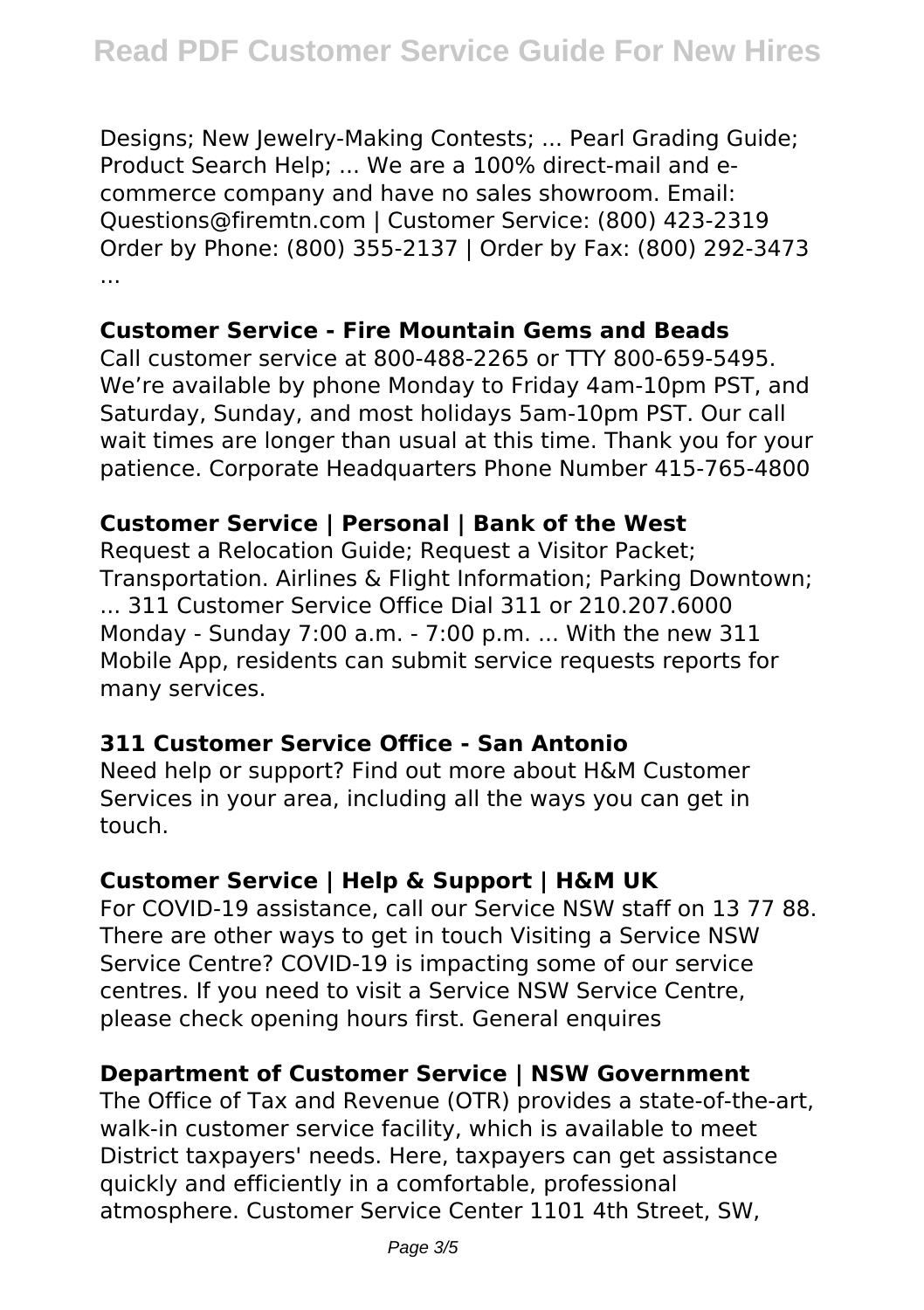Designs; New Jewelry-Making Contests; ... Pearl Grading Guide; Product Search Help; ... We are a 100% direct-mail and ecommerce company and have no sales showroom. Email: Questions@firemtn.com | Customer Service: (800) 423-2319 Order by Phone: (800) 355-2137 | Order by Fax: (800) 292-3473 ...

# **Customer Service - Fire Mountain Gems and Beads**

Call customer service at 800-488-2265 or TTY 800-659-5495. We're available by phone Monday to Friday 4am-10pm PST, and Saturday, Sunday, and most holidays 5am-10pm PST. Our call wait times are longer than usual at this time. Thank you for your patience. Corporate Headquarters Phone Number 415-765-4800

# **Customer Service | Personal | Bank of the West**

Request a Relocation Guide; Request a Visitor Packet; Transportation. Airlines & Flight Information; Parking Downtown; ... 311 Customer Service Office Dial 311 or 210.207.6000 Monday - Sunday 7:00 a.m. - 7:00 p.m. ... With the new 311 Mobile App, residents can submit service requests reports for many services.

# **311 Customer Service Office - San Antonio**

Need help or support? Find out more about H&M Customer Services in your area, including all the ways you can get in touch.

# **Customer Service | Help & Support | H&M UK**

For COVID-19 assistance, call our Service NSW staff on 13 77 88. There are other ways to get in touch Visiting a Service NSW Service Centre? COVID-19 is impacting some of our service centres. If you need to visit a Service NSW Service Centre, please check opening hours first. General enquires

# **Department of Customer Service | NSW Government**

The Office of Tax and Revenue (OTR) provides a state-of-the-art, walk-in customer service facility, which is available to meet District taxpayers' needs. Here, taxpayers can get assistance quickly and efficiently in a comfortable, professional atmosphere. Customer Service Center 1101 4th Street, SW,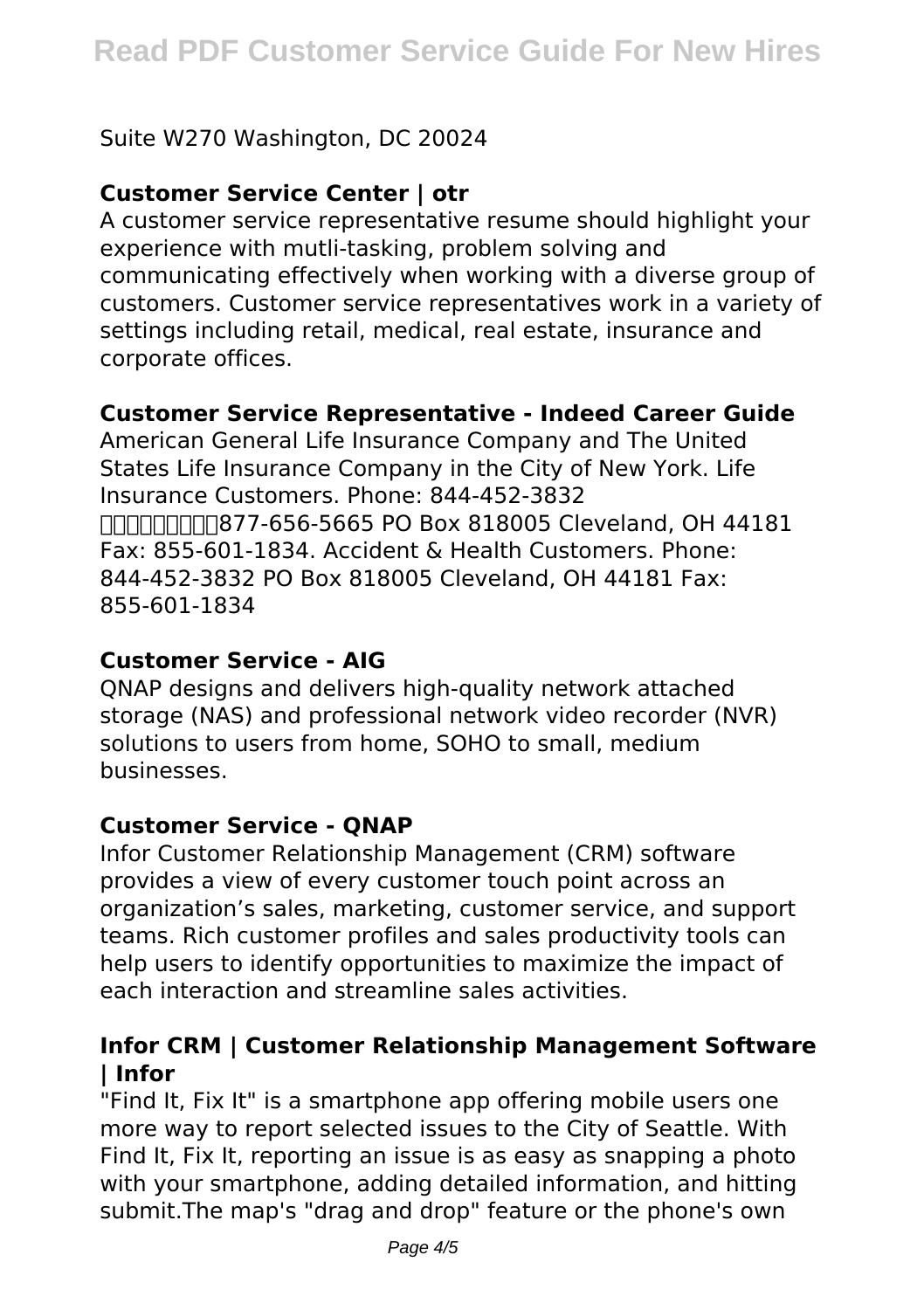# Suite W270 Washington, DC 20024

# **Customer Service Center | otr**

A customer service representative resume should highlight your experience with mutli-tasking, problem solving and communicating effectively when working with a diverse group of customers. Customer service representatives work in a variety of settings including retail, medical, real estate, insurance and corporate offices.

#### **Customer Service Representative - Indeed Career Guide**

American General Life Insurance Company and The United States Life Insurance Company in the City of New York. Life Insurance Customers. Phone: 844-452-3832  $n$ Fax: 855-601-1834. Accident & Health Customers. Phone: 844-452-3832 PO Box 818005 Cleveland, OH 44181 Fax: 855-601-1834

#### **Customer Service - AIG**

QNAP designs and delivers high-quality network attached storage (NAS) and professional network video recorder (NVR) solutions to users from home, SOHO to small, medium businesses.

#### **Customer Service - QNAP**

Infor Customer Relationship Management (CRM) software provides a view of every customer touch point across an organization's sales, marketing, customer service, and support teams. Rich customer profiles and sales productivity tools can help users to identify opportunities to maximize the impact of each interaction and streamline sales activities.

#### **Infor CRM | Customer Relationship Management Software | Infor**

"Find It, Fix It" is a smartphone app offering mobile users one more way to report selected issues to the City of Seattle. With Find It, Fix It, reporting an issue is as easy as snapping a photo with your smartphone, adding detailed information, and hitting submit.The map's "drag and drop" feature or the phone's own